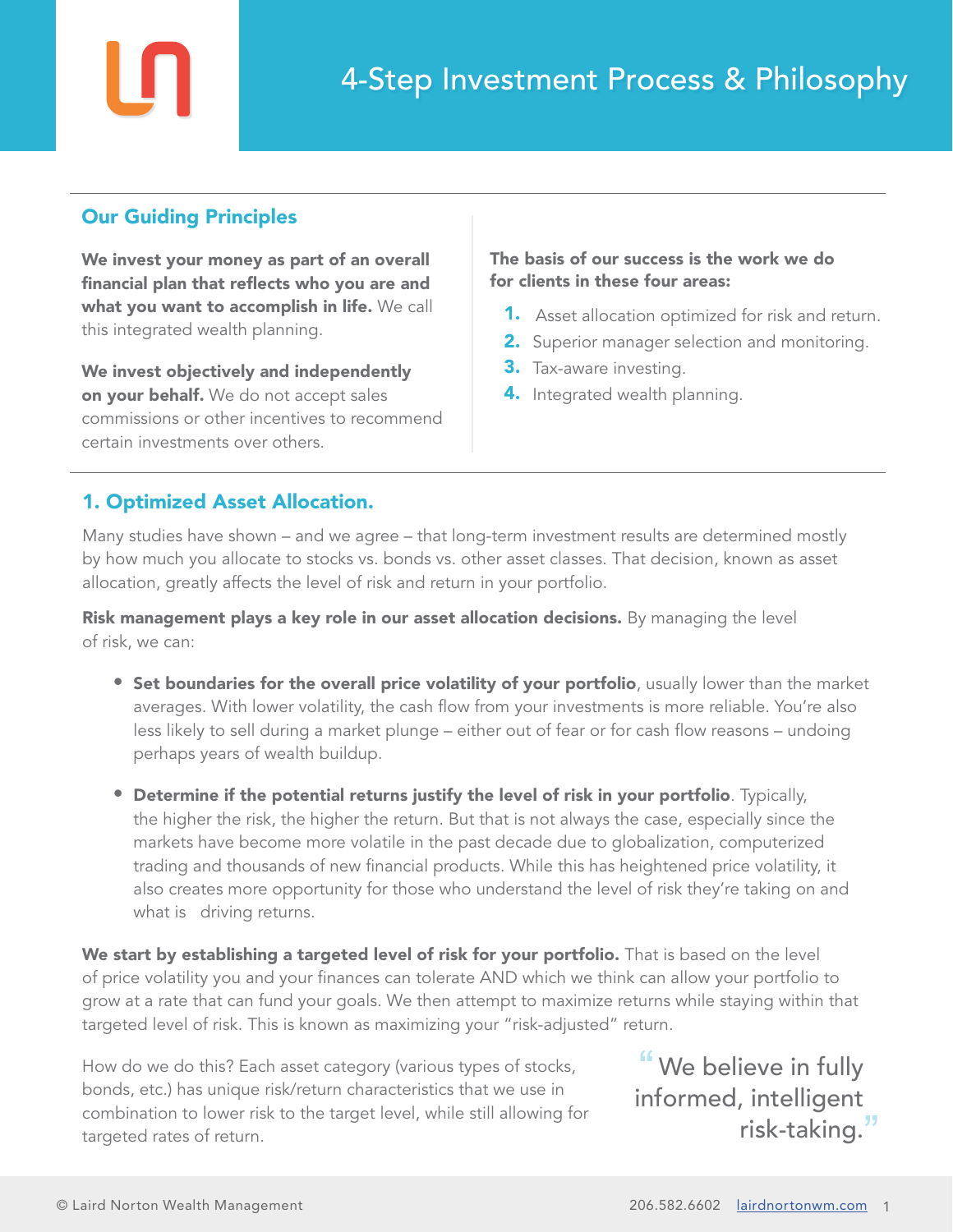# Our Guiding Principles

We invest your money as part of an overall financial plan that reflects who you are and what you want to accomplish in life. We call this integrated wealth planning.

We invest objectively and independently on your behalf. We do not accept sales commissions or other incentives to recommend certain investments over others.

### The basis of our success is the work we do for clients in these four areas:

- **1.** Asset allocation optimized for risk and return.
- **2.** Superior manager selection and monitoring.
- **3.** Tax-aware investing.
- 4. Integrated wealth planning.

# 1. Optimized Asset Allocation.

Many studies have shown – and we agree – that long-term investment results are determined mostly by how much you allocate to stocks vs. bonds vs. other asset classes. That decision, known as asset allocation, greatly affects the level of risk and return in your portfolio.

Risk management plays a key role in our asset allocation decisions. By managing the level of risk, we can:

- **Set boundaries for the overall price volatility of your portfolio**, usually lower than the market averages. With lower volatility, the cash flow from your investments is more reliable. You're also less likely to sell during a market plunge – either out of fear or for cash flow reasons – undoing perhaps years of wealth buildup.
- Determine if the potential returns justify the level of risk in your portfolio. Typically, the higher the risk, the higher the return. But that is not always the case, especially since the markets have become more volatile in the past decade due to globalization, computerized trading and thousands of new financial products. While this has heightened price volatility, it also creates more opportunity for those who understand the level of risk they're taking on and what is driving returns.

We start by establishing a targeted level of risk for your portfolio. That is based on the level of price volatility you and your finances can tolerate AND which we think can allow your portfolio to grow at a rate that can fund your goals. We then attempt to maximize returns while staying within that targeted level of risk. This is known as maximizing your "risk-adjusted" return.

How do we do this? Each asset category (various types of stocks, bonds, etc.) has unique risk/return characteristics that we use in combination to lower risk to the target level, while still allowing for targeted rates of return.

"We believe in fully informed, intelligent risk-taking.<sup>11</sup>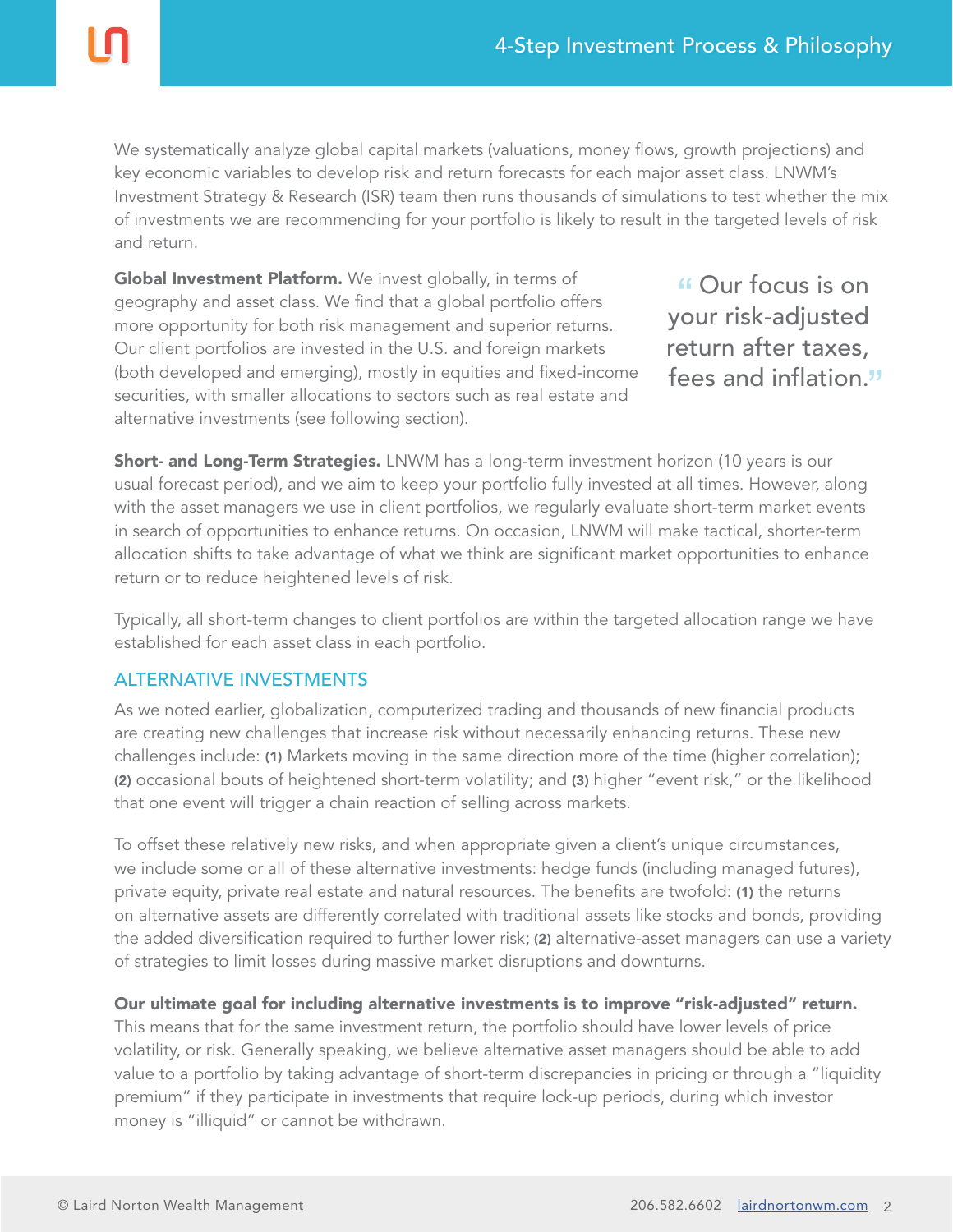We systematically analyze global capital markets (valuations, money flows, growth projections) and key economic variables to develop risk and return forecasts for each major asset class. LNWM's Investment Strategy & Research (ISR) team then runs thousands of simulations to test whether the mix of investments we are recommending for your portfolio is likely to result in the targeted levels of risk and return.

Global Investment Platform. We invest globally, in terms of geography and asset class. We find that a global portfolio offers more opportunity for both risk management and superior returns. Our client portfolios are invested in the U.S. and foreign markets (both developed and emerging), mostly in equities and fixed-income securities, with smaller allocations to sectors such as real estate and alternative investments (see following section).

Our focus is on your risk-adjusted return after taxes, fees and inflation.

Short- and Long-Term Strategies. LNWM has a long-term investment horizon (10 years is our usual forecast period), and we aim to keep your portfolio fully invested at all times. However, along with the asset managers we use in client portfolios, we regularly evaluate short-term market events in search of opportunities to enhance returns. On occasion, LNWM will make tactical, shorter-term allocation shifts to take advantage of what we think are significant market opportunities to enhance return or to reduce heightened levels of risk.

Typically, all short-term changes to client portfolios are within the targeted allocation range we have established for each asset class in each portfolio.

### ALTERNATIVE INVESTMENTS

As we noted earlier, globalization, computerized trading and thousands of new financial products are creating new challenges that increase risk without necessarily enhancing returns. These new challenges include: (1) Markets moving in the same direction more of the time (higher correlation); (2) occasional bouts of heightened short-term volatility; and (3) higher "event risk," or the likelihood that one event will trigger a chain reaction of selling across markets.

To offset these relatively new risks, and when appropriate given a client's unique circumstances, we include some or all of these alternative investments: hedge funds (including managed futures), private equity, private real estate and natural resources. The benefits are twofold: (1) the returns on alternative assets are differently correlated with traditional assets like stocks and bonds, providing the added diversification required to further lower risk; (2) alternative-asset managers can use a variety of strategies to limit losses during massive market disruptions and downturns.

### Our ultimate goal for including alternative investments is to improve "risk-adjusted" return.

This means that for the same investment return, the portfolio should have lower levels of price volatility, or risk. Generally speaking, we believe alternative asset managers should be able to add value to a portfolio by taking advantage of short-term discrepancies in pricing or through a "liquidity premium" if they participate in investments that require lock-up periods, during which investor money is "illiquid" or cannot be withdrawn.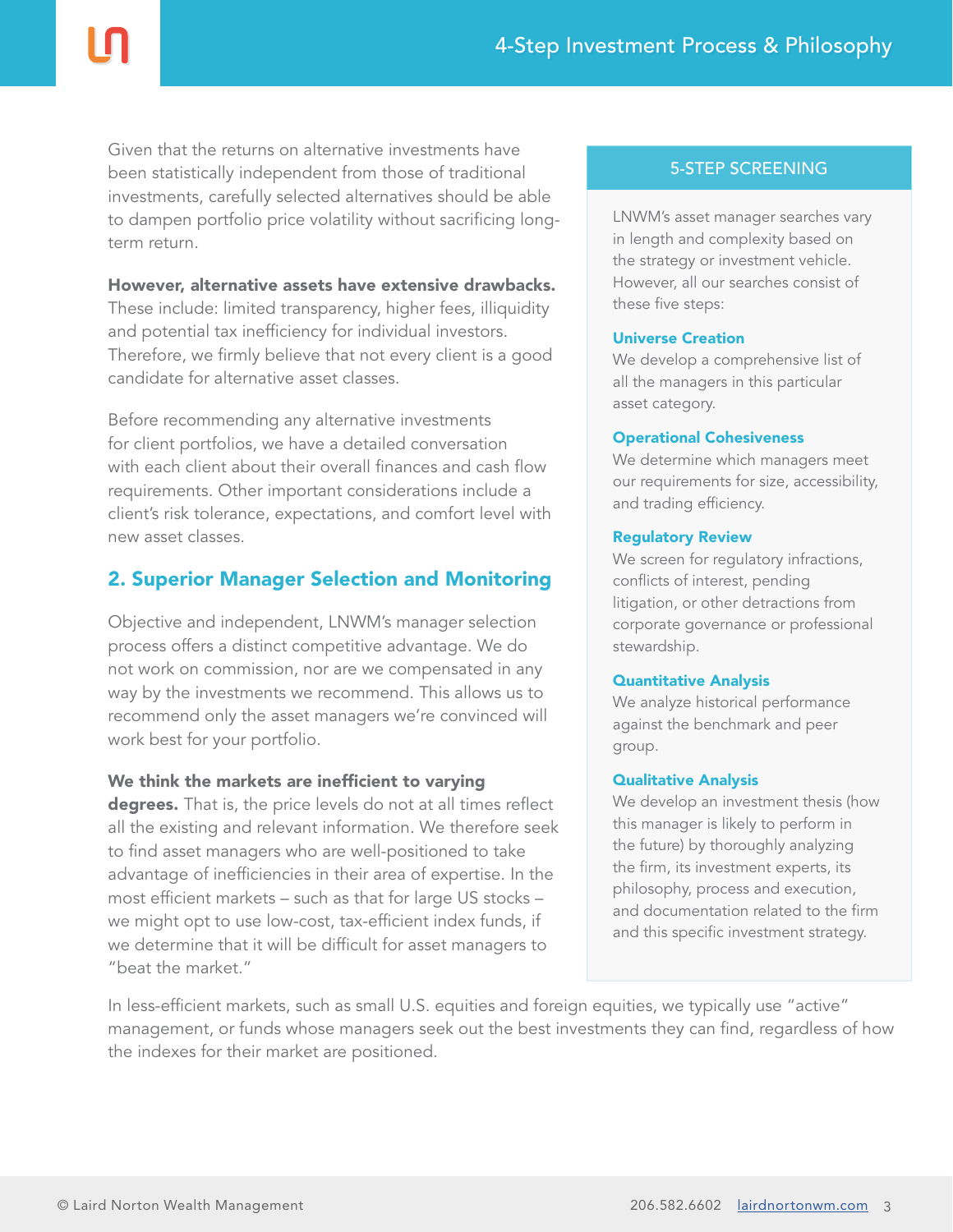Given that the returns on alternative investments have been statistically independent from those of traditional investments, carefully selected alternatives should be able to dampen portfolio price volatility without sacrificing longterm return.

However, alternative assets have extensive drawbacks. These include: limited transparency, higher fees, illiquidity and potential tax inefficiency for individual investors. Therefore, we firmly believe that not every client is a good candidate for alternative asset classes.

Before recommending any alternative investments for client portfolios, we have a detailed conversation with each client about their overall finances and cash flow requirements. Other important considerations include a client's risk tolerance, expectations, and comfort level with new asset classes.

# 2. Superior Manager Selection and Monitoring

Objective and independent, LNWM's manager selection process offers a distinct competitive advantage. We do not work on commission, nor are we compensated in any way by the investments we recommend. This allows us to recommend only the asset managers we're convinced will work best for your portfolio.

### We think the markets are inefficient to varying

degrees. That is, the price levels do not at all times reflect all the existing and relevant information. We therefore seek to find asset managers who are well-positioned to take advantage of inefficiencies in their area of expertise. In the most efficient markets – such as that for large US stocks – we might opt to use low-cost, tax-efficient index funds, if we determine that it will be difficult for asset managers to "beat the market."

### 5-STEP SCREENING

LNWM's asset manager searches vary in length and complexity based on the strategy or investment vehicle. However, all our searches consist of these five steps:

#### Universe Creation

We develop a comprehensive list of all the managers in this particular asset category.

#### Operational Cohesiveness

We determine which managers meet our requirements for size, accessibility, and trading efficiency.

#### Regulatory Review

We screen for regulatory infractions, conflicts of interest, pending litigation, or other detractions from corporate governance or professional stewardship.

#### Quantitative Analysis

We analyze historical performance against the benchmark and peer group.

#### Qualitative Analysis

We develop an investment thesis (how this manager is likely to perform in the future) by thoroughly analyzing the firm, its investment experts, its philosophy, process and execution, and documentation related to the firm and this specific investment strategy.

In less-efficient markets, such as small U.S. equities and foreign equities, we typically use "active" management, or funds whose managers seek out the best investments they can find, regardless of how the indexes for their market are positioned.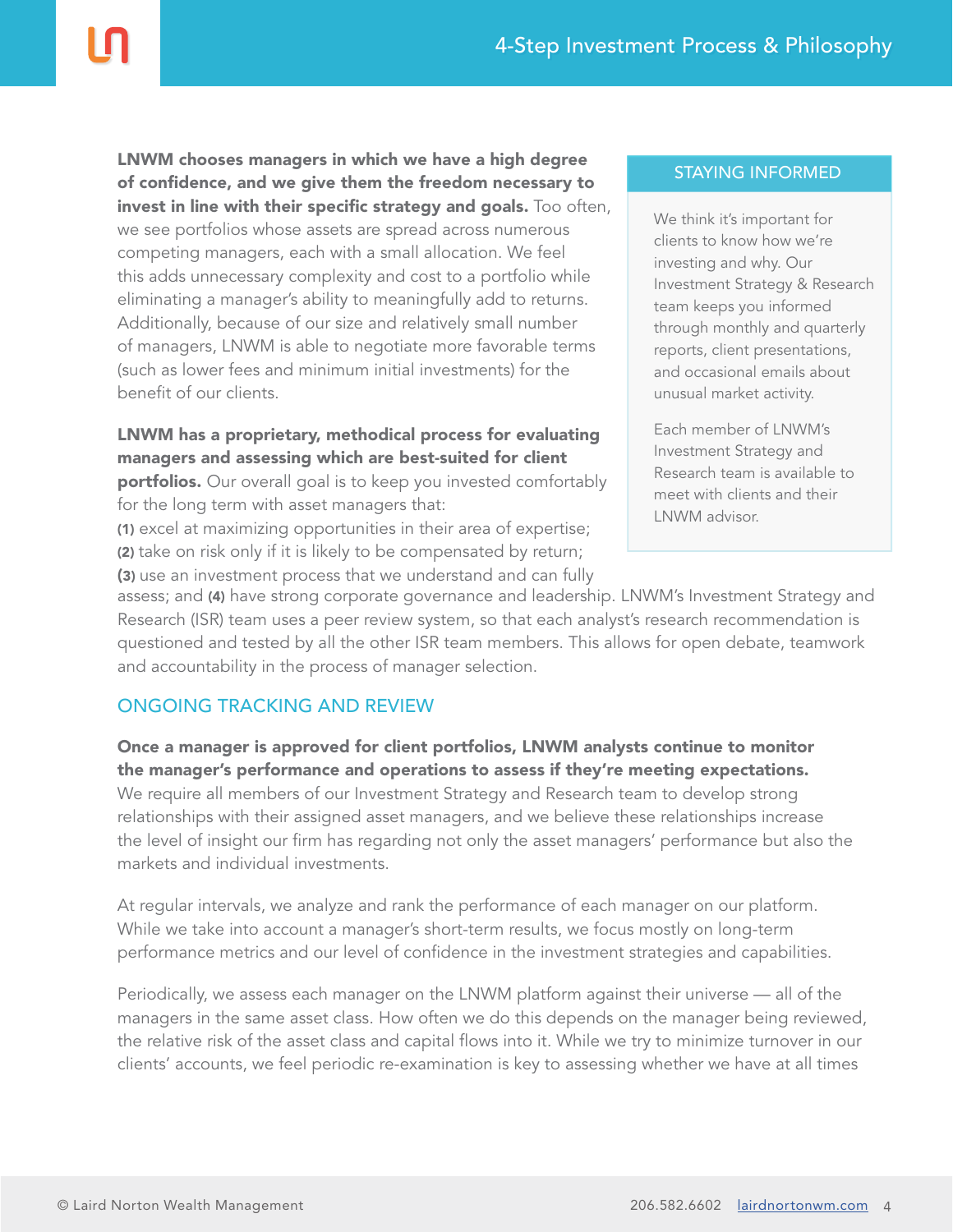LNWM chooses managers in which we have a high degree of confidence, and we give them the freedom necessary to invest in line with their specific strategy and goals. Too often, we see portfolios whose assets are spread across numerous competing managers, each with a small allocation. We feel this adds unnecessary complexity and cost to a portfolio while eliminating a manager's ability to meaningfully add to returns. Additionally, because of our size and relatively small number of managers, LNWM is able to negotiate more favorable terms (such as lower fees and minimum initial investments) for the benefit of our clients.

LNWM has a proprietary, methodical process for evaluating managers and assessing which are best-suited for client

portfolios. Our overall goal is to keep you invested comfortably for the long term with asset managers that:

(1) excel at maximizing opportunities in their area of expertise; (2) take on risk only if it is likely to be compensated by return;

(3) use an investment process that we understand and can fully

#### STAYING INFORMED

We think it's important for clients to know how we're investing and why. Our Investment Strategy & Research team keeps you informed through monthly and quarterly reports, client presentations, and occasional emails about unusual market activity.

Each member of LNWM's Investment Strategy and Research team is available to meet with clients and their LNWM advisor.

assess; and (4) have strong corporate governance and leadership. LNWM's Investment Strategy and Research (ISR) team uses a peer review system, so that each analyst's research recommendation is questioned and tested by all the other ISR team members. This allows for open debate, teamwork and accountability in the process of manager selection.

# ONGOING TRACKING AND REVIEW

Once a manager is approved for client portfolios, LNWM analysts continue to monitor the manager's performance and operations to assess if they're meeting expectations. We require all members of our Investment Strategy and Research team to develop strong relationships with their assigned asset managers, and we believe these relationships increase the level of insight our firm has regarding not only the asset managers' performance but also the markets and individual investments.

At regular intervals, we analyze and rank the performance of each manager on our platform. While we take into account a manager's short-term results, we focus mostly on long-term performance metrics and our level of confidence in the investment strategies and capabilities.

Periodically, we assess each manager on the LNWM platform against their universe — all of the managers in the same asset class. How often we do this depends on the manager being reviewed, the relative risk of the asset class and capital flows into it. While we try to minimize turnover in our clients' accounts, we feel periodic re-examination is key to assessing whether we have at all times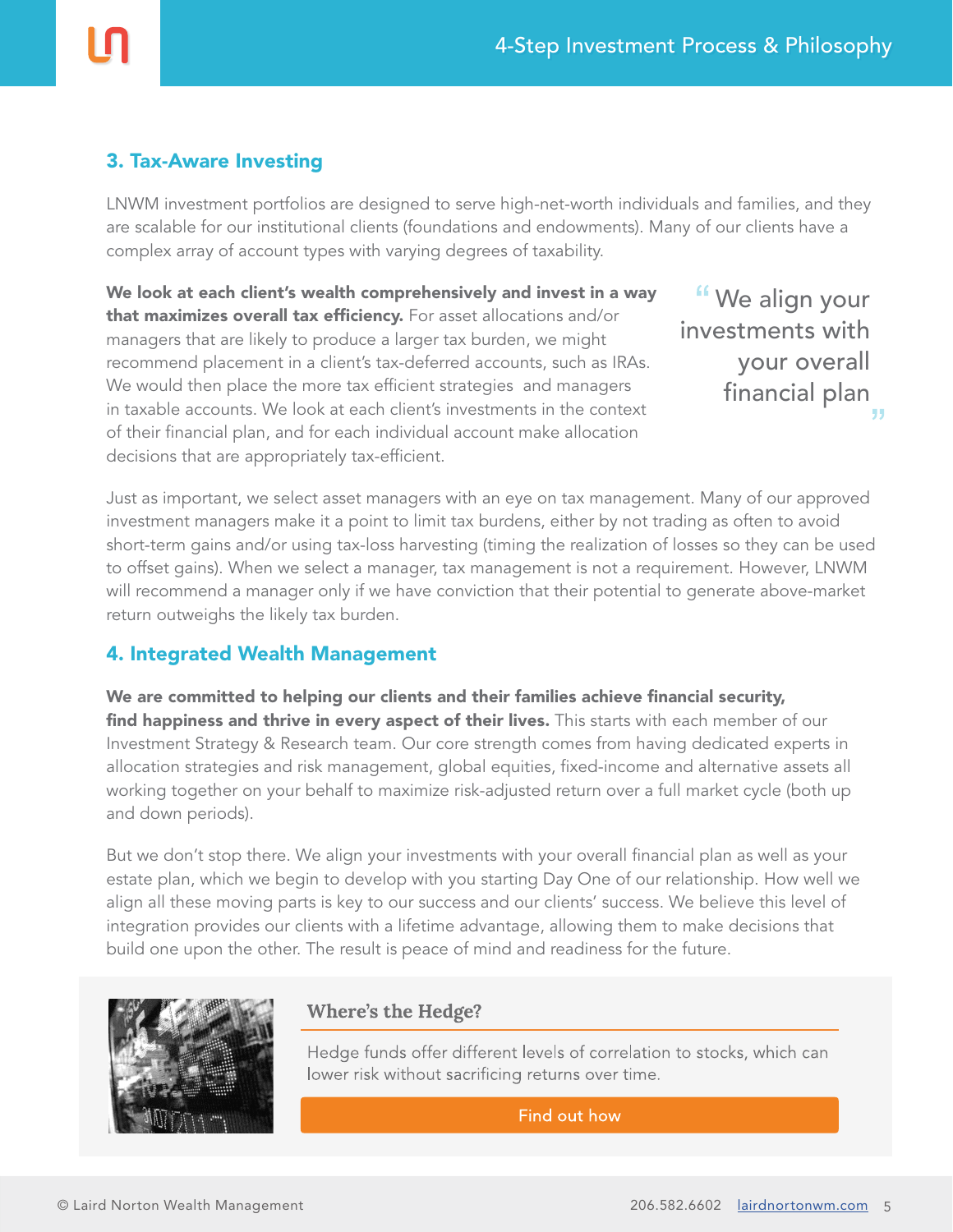# 3. Tax-Aware Investing

LNWM investment portfolios are designed to serve high-net-worth individuals and families, and they are scalable for our institutional clients (foundations and endowments). Many of our clients have a complex array of account types with varying degrees of taxability.

We look at each client's wealth comprehensively and invest in a way that maximizes overall tax efficiency. For asset allocations and/or managers that are likely to produce a larger tax burden, we might recommend placement in a client's tax-deferred accounts, such as IRAs. We would then place the more tax efficient strategies and managers in taxable accounts. We look at each client's investments in the context of their financial plan, and for each individual account make allocation decisions that are appropriately tax-efficient.

We align your investments with your overall financial plan

Just as important, we select asset managers with an eye on tax management. Many of our approved investment managers make it a point to limit tax burdens, either by not trading as often to avoid short-term gains and/or using tax-loss harvesting (timing the realization of losses so they can be used to offset gains). When we select a manager, tax management is not a requirement. However, LNWM will recommend a manager only if we have conviction that their potential to generate above-market return outweighs the likely tax burden.

# 4. Integrated Wealth Management

We are committed to helping our clients and their families achieve financial security, find happiness and thrive in every aspect of their lives. This starts with each member of our Investment Strategy & Research team. Our core strength comes from having dedicated experts in allocation strategies and risk management, global equities, fixed-income and alternative assets all working together on your behalf to maximize risk-adjusted return over a full market cycle (both up and down periods).

But we don't stop there. We align your investments with your overall financial plan as well as your estate plan, which we begin to develop with you starting Day One of our relationship. How well we align all these moving parts is key to our success and our clients' success. We believe this level of integration provides our clients with a lifetime advantage, allowing them to make decisions that build one upon the other. The result is peace of mind and readiness for the future.



# **Where's the Hedge?**

Hedge funds offer different levels of correlation to stocks, which can lower risk without sacrificing returns over time.

Find out how